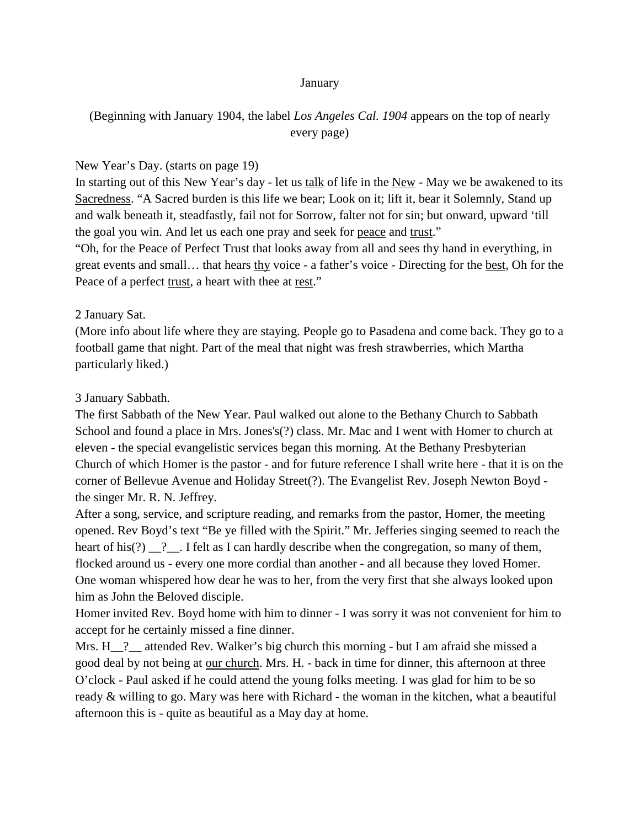#### January

# (Beginning with January 1904, the label *Los Angeles Cal. 1904* appears on the top of nearly every page)

### New Year's Day. (starts on page 19)

In starting out of this New Year's day - let us talk of life in the New - May we be awakened to its Sacredness. "A Sacred burden is this life we bear; Look on it; lift it, bear it Solemnly, Stand up and walk beneath it, steadfastly, fail not for Sorrow, falter not for sin; but onward, upward 'till the goal you win. And let us each one pray and seek for peace and trust."

"Oh, for the Peace of Perfect Trust that looks away from all and sees thy hand in everything, in great events and small… that hears thy voice - a father's voice - Directing for the best, Oh for the Peace of a perfect trust, a heart with thee at rest."

### 2 January Sat.

(More info about life where they are staying. People go to Pasadena and come back. They go to a football game that night. Part of the meal that night was fresh strawberries, which Martha particularly liked.)

### 3 January Sabbath.

The first Sabbath of the New Year. Paul walked out alone to the Bethany Church to Sabbath School and found a place in Mrs. Jones's(?) class. Mr. Mac and I went with Homer to church at eleven - the special evangelistic services began this morning. At the Bethany Presbyterian Church of which Homer is the pastor - and for future reference I shall write here - that it is on the corner of Bellevue Avenue and Holiday Street(?). The Evangelist Rev. Joseph Newton Boyd the singer Mr. R. N. Jeffrey.

After a song, service, and scripture reading, and remarks from the pastor, Homer, the meeting opened. Rev Boyd's text "Be ye filled with the Spirit." Mr. Jefferies singing seemed to reach the heart of his(?)  $\quad$ ?  $\quad$ . I felt as I can hardly describe when the congregation, so many of them, flocked around us - every one more cordial than another - and all because they loved Homer. One woman whispered how dear he was to her, from the very first that she always looked upon him as John the Beloved disciple.

Homer invited Rev. Boyd home with him to dinner - I was sorry it was not convenient for him to accept for he certainly missed a fine dinner.

Mrs. H<sub>1</sub>? attended Rev. Walker's big church this morning - but I am afraid she missed a good deal by not being at our church. Mrs. H. - back in time for dinner, this afternoon at three O'clock - Paul asked if he could attend the young folks meeting. I was glad for him to be so ready & willing to go. Mary was here with Richard - the woman in the kitchen, what a beautiful afternoon this is - quite as beautiful as a May day at home.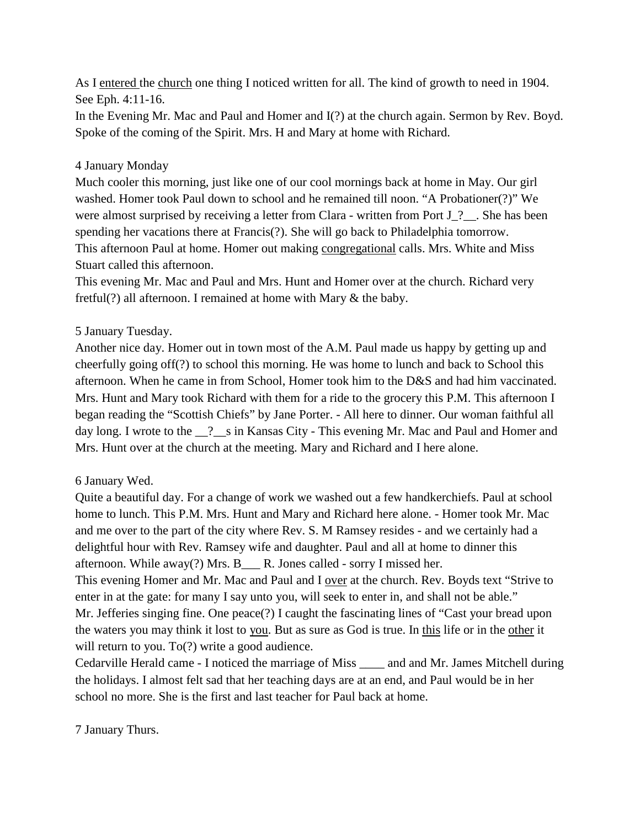As I entered the church one thing I noticed written for all. The kind of growth to need in 1904. See Eph. 4:11-16.

In the Evening Mr. Mac and Paul and Homer and I(?) at the church again. Sermon by Rev. Boyd. Spoke of the coming of the Spirit. Mrs. H and Mary at home with Richard.

# 4 January Monday

Much cooler this morning, just like one of our cool mornings back at home in May. Our girl washed. Homer took Paul down to school and he remained till noon. "A Probationer(?)" We were almost surprised by receiving a letter from Clara - written from Port J. ?.. She has been spending her vacations there at Francis(?). She will go back to Philadelphia tomorrow. This afternoon Paul at home. Homer out making congregational calls. Mrs. White and Miss Stuart called this afternoon.

This evening Mr. Mac and Paul and Mrs. Hunt and Homer over at the church. Richard very fretful(?) all afternoon. I remained at home with Mary & the baby.

# 5 January Tuesday.

Another nice day. Homer out in town most of the A.M. Paul made us happy by getting up and cheerfully going off(?) to school this morning. He was home to lunch and back to School this afternoon. When he came in from School, Homer took him to the D&S and had him vaccinated. Mrs. Hunt and Mary took Richard with them for a ride to the grocery this P.M. This afternoon I began reading the "Scottish Chiefs" by Jane Porter. - All here to dinner. Our woman faithful all day long. I wrote to the  $\frac{1}{2}$  s in Kansas City - This evening Mr. Mac and Paul and Homer and Mrs. Hunt over at the church at the meeting. Mary and Richard and I here alone.

## 6 January Wed.

Quite a beautiful day. For a change of work we washed out a few handkerchiefs. Paul at school home to lunch. This P.M. Mrs. Hunt and Mary and Richard here alone. - Homer took Mr. Mac and me over to the part of the city where Rev. S. M Ramsey resides - and we certainly had a delightful hour with Rev. Ramsey wife and daughter. Paul and all at home to dinner this afternoon. While away(?) Mrs. B\_\_\_ R. Jones called - sorry I missed her. This evening Homer and Mr. Mac and Paul and I over at the church. Rev. Boyds text "Strive to enter in at the gate: for many I say unto you, will seek to enter in, and shall not be able." Mr. Jefferies singing fine. One peace(?) I caught the fascinating lines of "Cast your bread upon the waters you may think it lost to you. But as sure as God is true. In this life or in the other it

will return to you. To(?) write a good audience.

Cedarville Herald came - I noticed the marriage of Miss \_\_\_\_ and and Mr. James Mitchell during the holidays. I almost felt sad that her teaching days are at an end, and Paul would be in her school no more. She is the first and last teacher for Paul back at home.

7 January Thurs.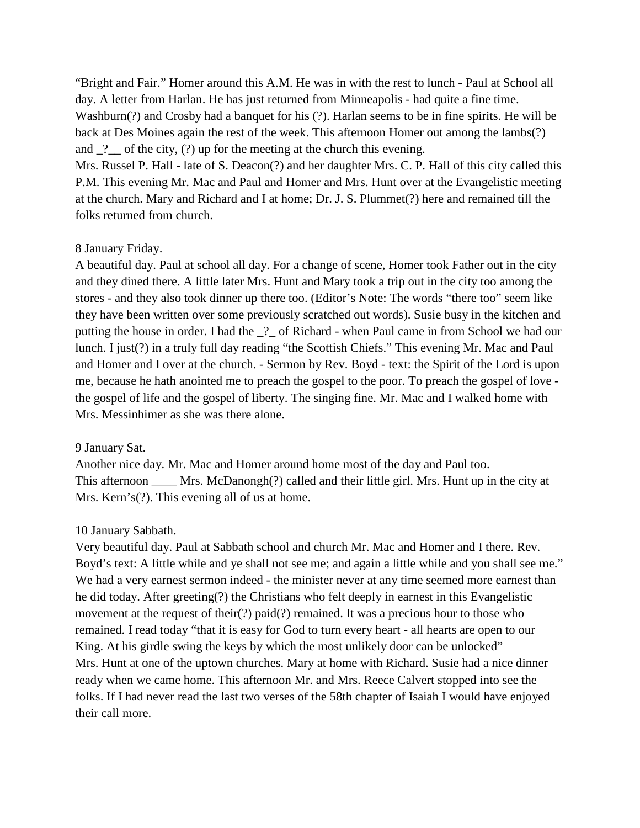"Bright and Fair." Homer around this A.M. He was in with the rest to lunch - Paul at School all day. A letter from Harlan. He has just returned from Minneapolis - had quite a fine time. Washburn(?) and Crosby had a banquet for his (?). Harlan seems to be in fine spirits. He will be back at Des Moines again the rest of the week. This afternoon Homer out among the lambs(?) and  $\frac{1}{2}$  of the city, (?) up for the meeting at the church this evening.

Mrs. Russel P. Hall - late of S. Deacon(?) and her daughter Mrs. C. P. Hall of this city called this P.M. This evening Mr. Mac and Paul and Homer and Mrs. Hunt over at the Evangelistic meeting at the church. Mary and Richard and I at home; Dr. J. S. Plummet(?) here and remained till the folks returned from church.

### 8 January Friday.

A beautiful day. Paul at school all day. For a change of scene, Homer took Father out in the city and they dined there. A little later Mrs. Hunt and Mary took a trip out in the city too among the stores - and they also took dinner up there too. (Editor's Note: The words "there too" seem like they have been written over some previously scratched out words). Susie busy in the kitchen and putting the house in order. I had the \_?\_ of Richard - when Paul came in from School we had our lunch. I just(?) in a truly full day reading "the Scottish Chiefs." This evening Mr. Mac and Paul and Homer and I over at the church. - Sermon by Rev. Boyd - text: the Spirit of the Lord is upon me, because he hath anointed me to preach the gospel to the poor. To preach the gospel of love the gospel of life and the gospel of liberty. The singing fine. Mr. Mac and I walked home with Mrs. Messinhimer as she was there alone.

#### 9 January Sat.

Another nice day. Mr. Mac and Homer around home most of the day and Paul too. This afternoon \_\_\_\_ Mrs. McDanongh(?) called and their little girl. Mrs. Hunt up in the city at Mrs. Kern's(?). This evening all of us at home.

### 10 January Sabbath.

Very beautiful day. Paul at Sabbath school and church Mr. Mac and Homer and I there. Rev. Boyd's text: A little while and ye shall not see me; and again a little while and you shall see me." We had a very earnest sermon indeed - the minister never at any time seemed more earnest than he did today. After greeting(?) the Christians who felt deeply in earnest in this Evangelistic movement at the request of their(?) paid(?) remained. It was a precious hour to those who remained. I read today "that it is easy for God to turn every heart - all hearts are open to our King. At his girdle swing the keys by which the most unlikely door can be unlocked" Mrs. Hunt at one of the uptown churches. Mary at home with Richard. Susie had a nice dinner ready when we came home. This afternoon Mr. and Mrs. Reece Calvert stopped into see the folks. If I had never read the last two verses of the 58th chapter of Isaiah I would have enjoyed their call more.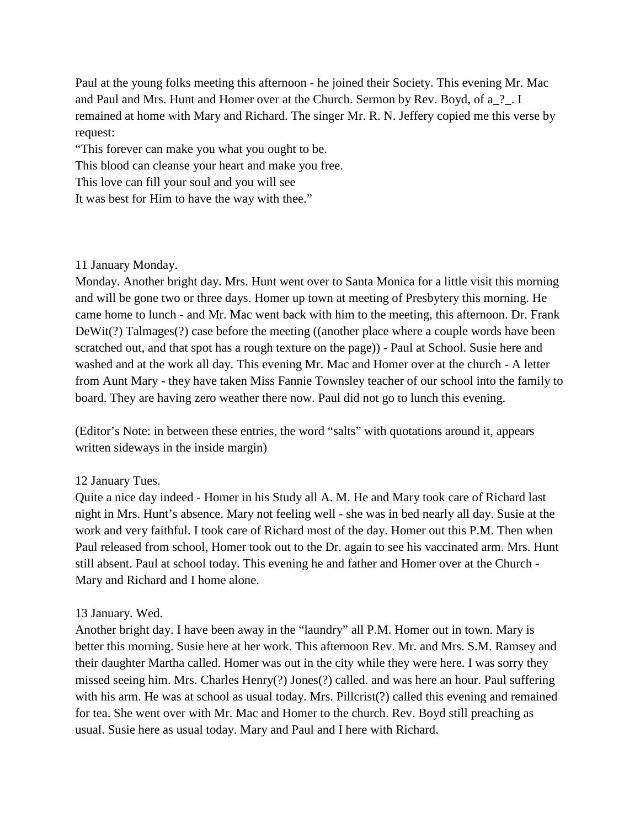Paul at the young folks meeting this afternoon - he joined their Society. This evening Mr. Mac and Paul and Mrs. Hunt and Homer over at the Church. Sermon by Rev. Boyd, of a\_?\_. I remained at home with Mary and Richard. The singer Mr. R. N. Jeffery copied me this verse by request:

"This forever can make you what you ought to be.

This blood can cleanse your heart and make you free.

This love can fill your soul and you will see

It was best for Him to have the way with thee."

### 11 January Monday.

Monday. Another bright day. Mrs. Hunt went over to Santa Monica for a little visit this morning and will be gone two or three days. Homer up town at meeting of Presbytery this morning. He came home to lunch - and Mr. Mac went back with him to the meeting, this afternoon. Dr. Frank DeWit(?) Talmages(?) case before the meeting ((another place where a couple words have been scratched out, and that spot has a rough texture on the page)) - Paul at School. Susie here and washed and at the work all day. This evening Mr. Mac and Homer over at the church - A letter from Aunt Mary - they have taken Miss Fannie Townsley teacher of our school into the family to board. They are having zero weather there now. Paul did not go to lunch this evening.

(Editor's Note: in between these entries, the word "salts" with quotations around it, appears written sideways in the inside margin)

## 12 January Tues.

Quite a nice day indeed - Homer in his Study all A. M. He and Mary took care of Richard last night in Mrs. Hunt's absence. Mary not feeling well - she was in bed nearly all day. Susie at the work and very faithful. I took care of Richard most of the day. Homer out this P.M. Then when Paul released from school, Homer took out to the Dr. again to see his vaccinated arm. Mrs. Hunt still absent. Paul at school today. This evening he and father and Homer over at the Church - Mary and Richard and I home alone.

### 13 January. Wed.

Another bright day. I have been away in the "laundry" all P.M. Homer out in town. Mary is better this morning. Susie here at her work. This afternoon Rev. Mr. and Mrs. S.M. Ramsey and their daughter Martha called. Homer was out in the city while they were here. I was sorry they missed seeing him. Mrs. Charles Henry(?) Jones(?) called. and was here an hour. Paul suffering with his arm. He was at school as usual today. Mrs. Pillcrist(?) called this evening and remained for tea. She went over with Mr. Mac and Homer to the church. Rev. Boyd still preaching as usual. Susie here as usual today. Mary and Paul and I here with Richard.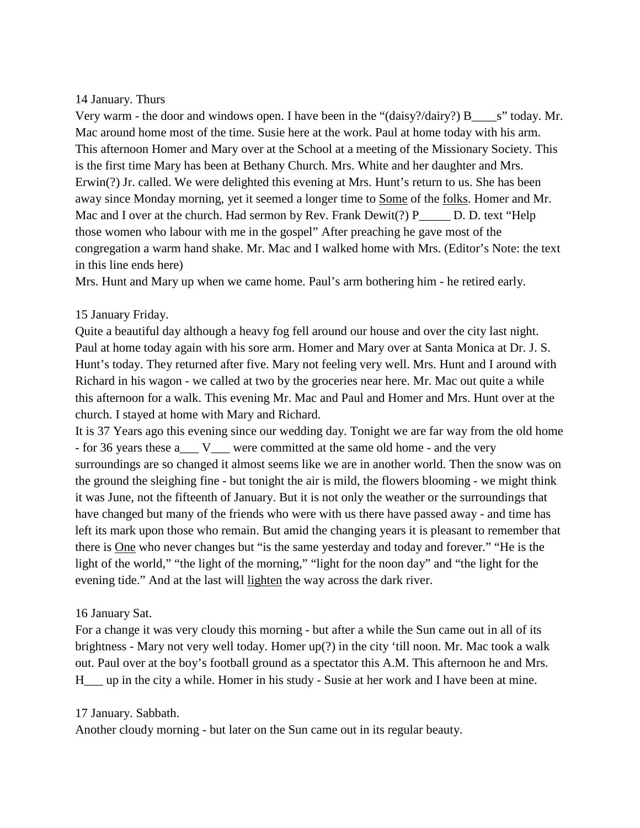### 14 January. Thurs

Very warm - the door and windows open. I have been in the " $(daisy? / dairy?) B$ " s" today. Mr. Mac around home most of the time. Susie here at the work. Paul at home today with his arm. This afternoon Homer and Mary over at the School at a meeting of the Missionary Society. This is the first time Mary has been at Bethany Church. Mrs. White and her daughter and Mrs. Erwin(?) Jr. called. We were delighted this evening at Mrs. Hunt's return to us. She has been away since Monday morning, yet it seemed a longer time to Some of the folks. Homer and Mr. Mac and I over at the church. Had sermon by Rev. Frank Dewit(?)  $P$  D. D. text "Help those women who labour with me in the gospel" After preaching he gave most of the congregation a warm hand shake. Mr. Mac and I walked home with Mrs. (Editor's Note: the text in this line ends here)

Mrs. Hunt and Mary up when we came home. Paul's arm bothering him - he retired early.

## 15 January Friday.

Quite a beautiful day although a heavy fog fell around our house and over the city last night. Paul at home today again with his sore arm. Homer and Mary over at Santa Monica at Dr. J. S. Hunt's today. They returned after five. Mary not feeling very well. Mrs. Hunt and I around with Richard in his wagon - we called at two by the groceries near here. Mr. Mac out quite a while this afternoon for a walk. This evening Mr. Mac and Paul and Homer and Mrs. Hunt over at the church. I stayed at home with Mary and Richard.

It is 37 Years ago this evening since our wedding day. Tonight we are far way from the old home - for 36 years these a\_\_\_ V\_\_\_ were committed at the same old home - and the very surroundings are so changed it almost seems like we are in another world. Then the snow was on the ground the sleighing fine - but tonight the air is mild, the flowers blooming - we might think it was June, not the fifteenth of January. But it is not only the weather or the surroundings that have changed but many of the friends who were with us there have passed away - and time has left its mark upon those who remain. But amid the changing years it is pleasant to remember that there is One who never changes but "is the same yesterday and today and forever." "He is the light of the world," "the light of the morning," "light for the noon day" and "the light for the evening tide." And at the last will lighten the way across the dark river.

## 16 January Sat.

For a change it was very cloudy this morning - but after a while the Sun came out in all of its brightness - Mary not very well today. Homer up(?) in the city 'till noon. Mr. Mac took a walk out. Paul over at the boy's football ground as a spectator this A.M. This afternoon he and Mrs. H\_\_\_ up in the city a while. Homer in his study - Susie at her work and I have been at mine.

## 17 January. Sabbath.

Another cloudy morning - but later on the Sun came out in its regular beauty.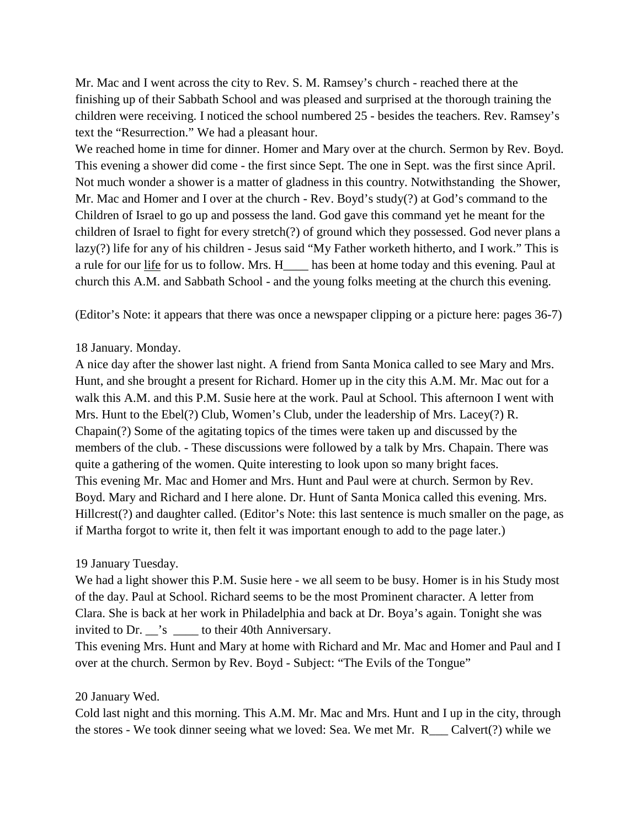Mr. Mac and I went across the city to Rev. S. M. Ramsey's church - reached there at the finishing up of their Sabbath School and was pleased and surprised at the thorough training the children were receiving. I noticed the school numbered 25 - besides the teachers. Rev. Ramsey's text the "Resurrection." We had a pleasant hour.

We reached home in time for dinner. Homer and Mary over at the church. Sermon by Rev. Boyd. This evening a shower did come - the first since Sept. The one in Sept. was the first since April. Not much wonder a shower is a matter of gladness in this country. Notwithstanding the Shower, Mr. Mac and Homer and I over at the church - Rev. Boyd's study(?) at God's command to the Children of Israel to go up and possess the land. God gave this command yet he meant for the children of Israel to fight for every stretch(?) of ground which they possessed. God never plans a lazy(?) life for any of his children - Jesus said "My Father worketh hitherto, and I work." This is a rule for our life for us to follow. Mrs. H\_\_\_\_ has been at home today and this evening. Paul at church this A.M. and Sabbath School - and the young folks meeting at the church this evening.

(Editor's Note: it appears that there was once a newspaper clipping or a picture here: pages 36-7)

### 18 January. Monday.

A nice day after the shower last night. A friend from Santa Monica called to see Mary and Mrs. Hunt, and she brought a present for Richard. Homer up in the city this A.M. Mr. Mac out for a walk this A.M. and this P.M. Susie here at the work. Paul at School. This afternoon I went with Mrs. Hunt to the Ebel(?) Club, Women's Club, under the leadership of Mrs. Lacey(?) R. Chapain(?) Some of the agitating topics of the times were taken up and discussed by the members of the club. - These discussions were followed by a talk by Mrs. Chapain. There was quite a gathering of the women. Quite interesting to look upon so many bright faces. This evening Mr. Mac and Homer and Mrs. Hunt and Paul were at church. Sermon by Rev. Boyd. Mary and Richard and I here alone. Dr. Hunt of Santa Monica called this evening. Mrs. Hillcrest(?) and daughter called. (Editor's Note: this last sentence is much smaller on the page, as if Martha forgot to write it, then felt it was important enough to add to the page later.)

## 19 January Tuesday.

We had a light shower this P.M. Susie here - we all seem to be busy. Homer is in his Study most of the day. Paul at School. Richard seems to be the most Prominent character. A letter from Clara. She is back at her work in Philadelphia and back at Dr. Boya's again. Tonight she was invited to Dr.  $\dot{ }$ 's to their 40th Anniversary.

This evening Mrs. Hunt and Mary at home with Richard and Mr. Mac and Homer and Paul and I over at the church. Sermon by Rev. Boyd - Subject: "The Evils of the Tongue"

### 20 January Wed.

Cold last night and this morning. This A.M. Mr. Mac and Mrs. Hunt and I up in the city, through the stores - We took dinner seeing what we loved: Sea. We met Mr. R\_\_\_ Calvert(?) while we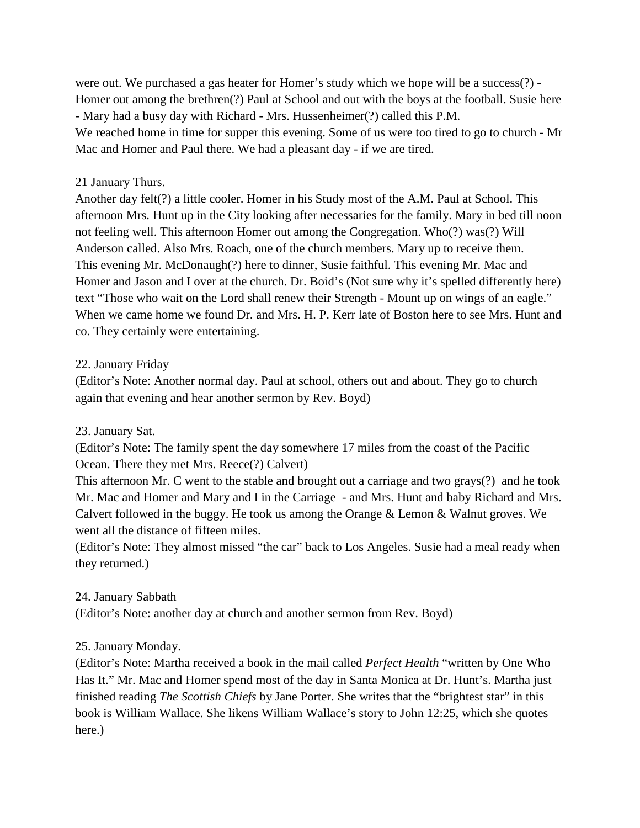were out. We purchased a gas heater for Homer's study which we hope will be a success(?) - Homer out among the brethren(?) Paul at School and out with the boys at the football. Susie here - Mary had a busy day with Richard - Mrs. Hussenheimer(?) called this P.M. We reached home in time for supper this evening. Some of us were too tired to go to church - Mr Mac and Homer and Paul there. We had a pleasant day - if we are tired.

### 21 January Thurs.

Another day felt(?) a little cooler. Homer in his Study most of the A.M. Paul at School. This afternoon Mrs. Hunt up in the City looking after necessaries for the family. Mary in bed till noon not feeling well. This afternoon Homer out among the Congregation. Who(?) was(?) Will Anderson called. Also Mrs. Roach, one of the church members. Mary up to receive them. This evening Mr. McDonaugh(?) here to dinner, Susie faithful. This evening Mr. Mac and Homer and Jason and I over at the church. Dr. Boid's (Not sure why it's spelled differently here) text "Those who wait on the Lord shall renew their Strength - Mount up on wings of an eagle." When we came home we found Dr. and Mrs. H. P. Kerr late of Boston here to see Mrs. Hunt and co. They certainly were entertaining.

### 22. January Friday

(Editor's Note: Another normal day. Paul at school, others out and about. They go to church again that evening and hear another sermon by Rev. Boyd)

## 23. January Sat.

(Editor's Note: The family spent the day somewhere 17 miles from the coast of the Pacific Ocean. There they met Mrs. Reece(?) Calvert)

This afternoon Mr. C went to the stable and brought out a carriage and two grays(?) and he took Mr. Mac and Homer and Mary and I in the Carriage - and Mrs. Hunt and baby Richard and Mrs. Calvert followed in the buggy. He took us among the Orange & Lemon & Walnut groves. We went all the distance of fifteen miles.

(Editor's Note: They almost missed "the car" back to Los Angeles. Susie had a meal ready when they returned.)

### 24. January Sabbath

(Editor's Note: another day at church and another sermon from Rev. Boyd)

### 25. January Monday.

(Editor's Note: Martha received a book in the mail called *Perfect Health* "written by One Who Has It." Mr. Mac and Homer spend most of the day in Santa Monica at Dr. Hunt's. Martha just finished reading *The Scottish Chiefs* by Jane Porter. She writes that the "brightest star" in this book is William Wallace. She likens William Wallace's story to John 12:25, which she quotes here.)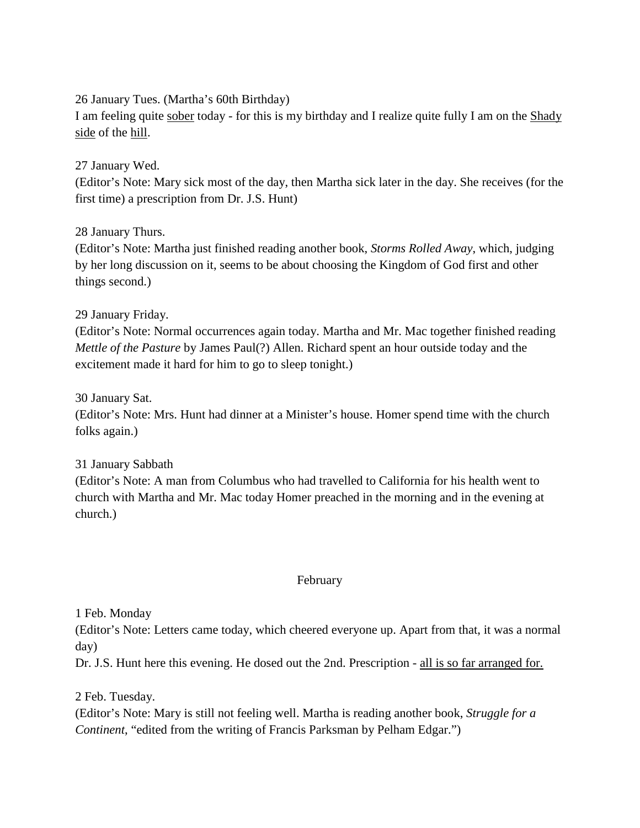26 January Tues. (Martha's 60th Birthday)

I am feeling quite sober today - for this is my birthday and I realize quite fully I am on the Shady side of the hill.

27 January Wed.

(Editor's Note: Mary sick most of the day, then Martha sick later in the day. She receives (for the first time) a prescription from Dr. J.S. Hunt)

28 January Thurs.

(Editor's Note: Martha just finished reading another book, *Storms Rolled Away*, which, judging by her long discussion on it, seems to be about choosing the Kingdom of God first and other things second.)

29 January Friday.

(Editor's Note: Normal occurrences again today. Martha and Mr. Mac together finished reading *Mettle of the Pasture* by James Paul(?) Allen. Richard spent an hour outside today and the excitement made it hard for him to go to sleep tonight.)

30 January Sat.

(Editor's Note: Mrs. Hunt had dinner at a Minister's house. Homer spend time with the church folks again.)

31 January Sabbath

(Editor's Note: A man from Columbus who had travelled to California for his health went to church with Martha and Mr. Mac today Homer preached in the morning and in the evening at church.)

### February

1 Feb. Monday

(Editor's Note: Letters came today, which cheered everyone up. Apart from that, it was a normal day)

Dr. J.S. Hunt here this evening. He dosed out the 2nd. Prescription - all is so far arranged for.

2 Feb. Tuesday.

(Editor's Note: Mary is still not feeling well. Martha is reading another book, *Struggle for a Continent*, "edited from the writing of Francis Parksman by Pelham Edgar.")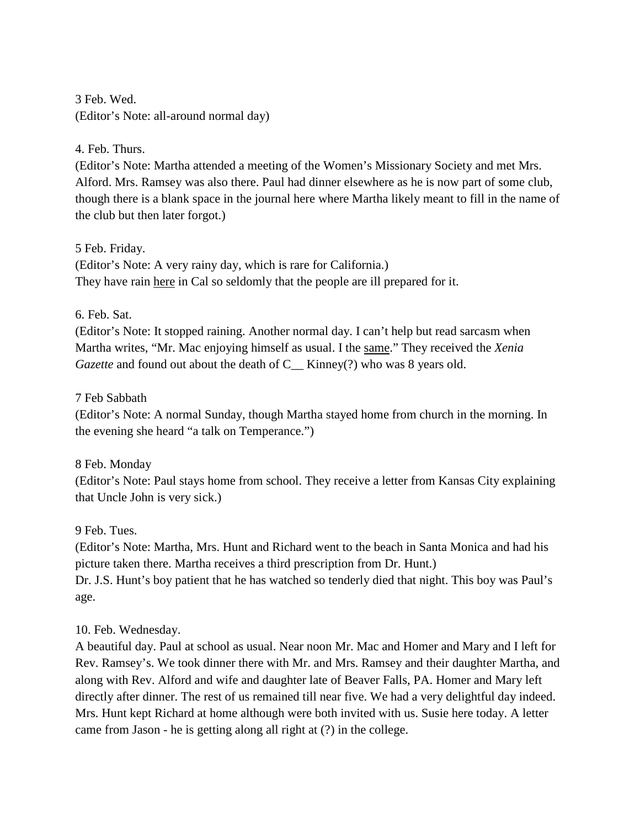3 Feb. Wed. (Editor's Note: all-around normal day)

## 4. Feb. Thurs.

(Editor's Note: Martha attended a meeting of the Women's Missionary Society and met Mrs. Alford. Mrs. Ramsey was also there. Paul had dinner elsewhere as he is now part of some club, though there is a blank space in the journal here where Martha likely meant to fill in the name of the club but then later forgot.)

## 5 Feb. Friday.

(Editor's Note: A very rainy day, which is rare for California.) They have rain here in Cal so seldomly that the people are ill prepared for it.

## 6. Feb. Sat.

(Editor's Note: It stopped raining. Another normal day. I can't help but read sarcasm when Martha writes, "Mr. Mac enjoying himself as usual. I the same." They received the *Xenia Gazette* and found out about the death of C\_\_ Kinney(?) who was 8 years old.

## 7 Feb Sabbath

(Editor's Note: A normal Sunday, though Martha stayed home from church in the morning. In the evening she heard "a talk on Temperance.")

# 8 Feb. Monday

(Editor's Note: Paul stays home from school. They receive a letter from Kansas City explaining that Uncle John is very sick.)

## 9 Feb. Tues.

(Editor's Note: Martha, Mrs. Hunt and Richard went to the beach in Santa Monica and had his picture taken there. Martha receives a third prescription from Dr. Hunt.)

Dr. J.S. Hunt's boy patient that he has watched so tenderly died that night. This boy was Paul's age.

# 10. Feb. Wednesday.

A beautiful day. Paul at school as usual. Near noon Mr. Mac and Homer and Mary and I left for Rev. Ramsey's. We took dinner there with Mr. and Mrs. Ramsey and their daughter Martha, and along with Rev. Alford and wife and daughter late of Beaver Falls, PA. Homer and Mary left directly after dinner. The rest of us remained till near five. We had a very delightful day indeed. Mrs. Hunt kept Richard at home although were both invited with us. Susie here today. A letter came from Jason - he is getting along all right at (?) in the college.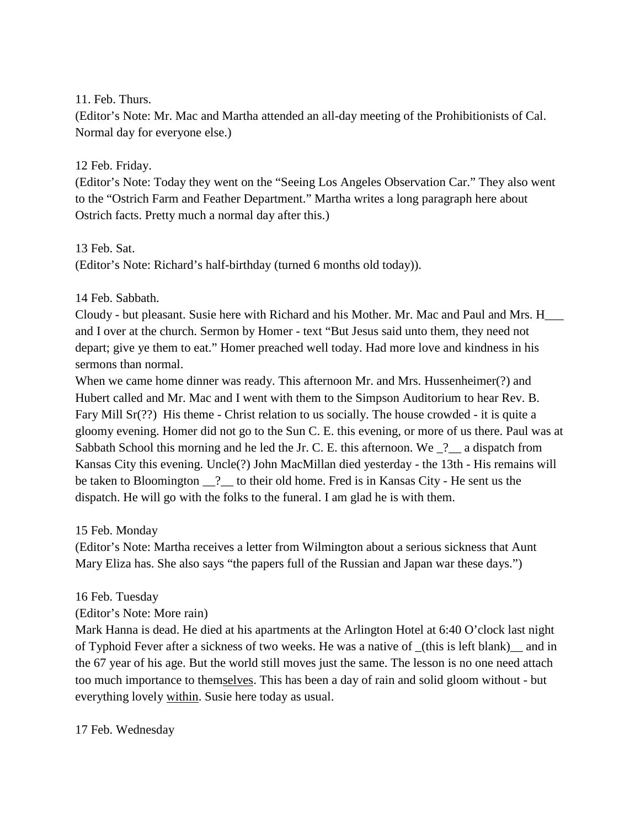11. Feb. Thurs.

(Editor's Note: Mr. Mac and Martha attended an all-day meeting of the Prohibitionists of Cal. Normal day for everyone else.)

## 12 Feb. Friday.

(Editor's Note: Today they went on the "Seeing Los Angeles Observation Car." They also went to the "Ostrich Farm and Feather Department." Martha writes a long paragraph here about Ostrich facts. Pretty much a normal day after this.)

13 Feb. Sat.

(Editor's Note: Richard's half-birthday (turned 6 months old today)).

14 Feb. Sabbath.

Cloudy - but pleasant. Susie here with Richard and his Mother. Mr. Mac and Paul and Mrs. H\_\_\_ and I over at the church. Sermon by Homer - text "But Jesus said unto them, they need not depart; give ye them to eat." Homer preached well today. Had more love and kindness in his sermons than normal.

When we came home dinner was ready. This afternoon Mr. and Mrs. Hussenheimer(?) and Hubert called and Mr. Mac and I went with them to the Simpson Auditorium to hear Rev. B. Fary Mill Sr(??) His theme - Christ relation to us socially. The house crowded - it is quite a gloomy evening. Homer did not go to the Sun C. E. this evening, or more of us there. Paul was at Sabbath School this morning and he led the Jr. C. E. this afternoon. We  $\frac{?}{?}$  a dispatch from Kansas City this evening. Uncle(?) John MacMillan died yesterday - the 13th - His remains will be taken to Bloomington \_\_? \_\_ to their old home. Fred is in Kansas City - He sent us the dispatch. He will go with the folks to the funeral. I am glad he is with them.

15 Feb. Monday

(Editor's Note: Martha receives a letter from Wilmington about a serious sickness that Aunt Mary Eliza has. She also says "the papers full of the Russian and Japan war these days.")

16 Feb. Tuesday

(Editor's Note: More rain)

Mark Hanna is dead. He died at his apartments at the Arlington Hotel at 6:40 O'clock last night of Typhoid Fever after a sickness of two weeks. He was a native of \_(this is left blank)\_\_ and in the 67 year of his age. But the world still moves just the same. The lesson is no one need attach too much importance to themselves. This has been a day of rain and solid gloom without - but everything lovely within. Susie here today as usual.

17 Feb. Wednesday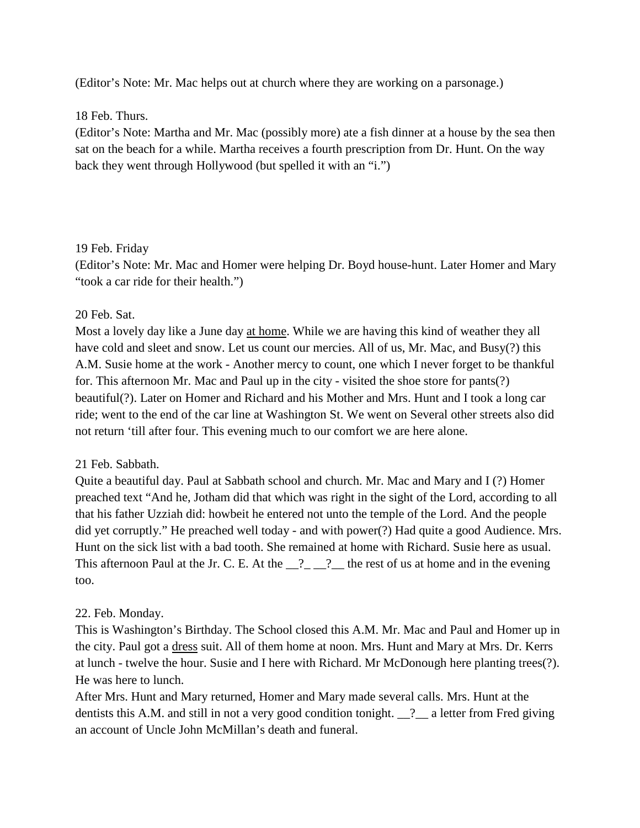(Editor's Note: Mr. Mac helps out at church where they are working on a parsonage.)

### 18 Feb. Thurs.

(Editor's Note: Martha and Mr. Mac (possibly more) ate a fish dinner at a house by the sea then sat on the beach for a while. Martha receives a fourth prescription from Dr. Hunt. On the way back they went through Hollywood (but spelled it with an "i.")

## 19 Feb. Friday

(Editor's Note: Mr. Mac and Homer were helping Dr. Boyd house-hunt. Later Homer and Mary "took a car ride for their health.")

## 20 Feb. Sat.

Most a lovely day like a June day at home. While we are having this kind of weather they all have cold and sleet and snow. Let us count our mercies. All of us, Mr. Mac, and Busy(?) this A.M. Susie home at the work - Another mercy to count, one which I never forget to be thankful for. This afternoon Mr. Mac and Paul up in the city - visited the shoe store for pants(?) beautiful(?). Later on Homer and Richard and his Mother and Mrs. Hunt and I took a long car ride; went to the end of the car line at Washington St. We went on Several other streets also did not return 'till after four. This evening much to our comfort we are here alone.

## 21 Feb. Sabbath.

Quite a beautiful day. Paul at Sabbath school and church. Mr. Mac and Mary and I (?) Homer preached text "And he, Jotham did that which was right in the sight of the Lord, according to all that his father Uzziah did: howbeit he entered not unto the temple of the Lord. And the people did yet corruptly." He preached well today - and with power(?) Had quite a good Audience. Mrs. Hunt on the sick list with a bad tooth. She remained at home with Richard. Susie here as usual. This afternoon Paul at the Jr. C. E. At the  $\frac{1}{2}$   $\frac{1}{2}$  the rest of us at home and in the evening too.

## 22. Feb. Monday.

This is Washington's Birthday. The School closed this A.M. Mr. Mac and Paul and Homer up in the city. Paul got a dress suit. All of them home at noon. Mrs. Hunt and Mary at Mrs. Dr. Kerrs at lunch - twelve the hour. Susie and I here with Richard. Mr McDonough here planting trees(?). He was here to lunch.

After Mrs. Hunt and Mary returned, Homer and Mary made several calls. Mrs. Hunt at the dentists this A.M. and still in not a very good condition tonight. \_\_?\_\_ a letter from Fred giving an account of Uncle John McMillan's death and funeral.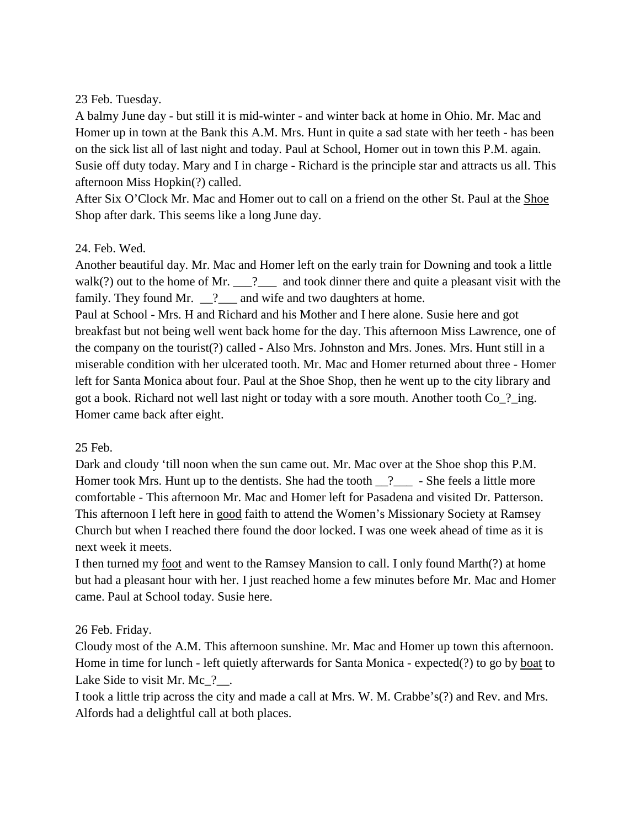## 23 Feb. Tuesday.

A balmy June day - but still it is mid-winter - and winter back at home in Ohio. Mr. Mac and Homer up in town at the Bank this A.M. Mrs. Hunt in quite a sad state with her teeth - has been on the sick list all of last night and today. Paul at School, Homer out in town this P.M. again. Susie off duty today. Mary and I in charge - Richard is the principle star and attracts us all. This afternoon Miss Hopkin(?) called.

After Six O'Clock Mr. Mac and Homer out to call on a friend on the other St. Paul at the Shoe Shop after dark. This seems like a long June day.

## 24. Feb. Wed.

Another beautiful day. Mr. Mac and Homer left on the early train for Downing and took a little walk(?) out to the home of Mr.  $\frac{?}{?}$  and took dinner there and quite a pleasant visit with the family. They found Mr. \_\_?\_\_\_ and wife and two daughters at home.

Paul at School - Mrs. H and Richard and his Mother and I here alone. Susie here and got breakfast but not being well went back home for the day. This afternoon Miss Lawrence, one of the company on the tourist(?) called - Also Mrs. Johnston and Mrs. Jones. Mrs. Hunt still in a miserable condition with her ulcerated tooth. Mr. Mac and Homer returned about three - Homer left for Santa Monica about four. Paul at the Shoe Shop, then he went up to the city library and got a book. Richard not well last night or today with a sore mouth. Another tooth Co\_?\_ing. Homer came back after eight.

## 25 Feb.

Dark and cloudy 'till noon when the sun came out. Mr. Mac over at the Shoe shop this P.M. Homer took Mrs. Hunt up to the dentists. She had the tooth  $\frac{?}{?}$  - She feels a little more comfortable - This afternoon Mr. Mac and Homer left for Pasadena and visited Dr. Patterson. This afternoon I left here in good faith to attend the Women's Missionary Society at Ramsey Church but when I reached there found the door locked. I was one week ahead of time as it is next week it meets.

I then turned my foot and went to the Ramsey Mansion to call. I only found Marth(?) at home but had a pleasant hour with her. I just reached home a few minutes before Mr. Mac and Homer came. Paul at School today. Susie here.

# 26 Feb. Friday.

Cloudy most of the A.M. This afternoon sunshine. Mr. Mac and Homer up town this afternoon. Home in time for lunch - left quietly afterwards for Santa Monica - expected(?) to go by boat to Lake Side to visit Mr. Mc ?..

I took a little trip across the city and made a call at Mrs. W. M. Crabbe's(?) and Rev. and Mrs. Alfords had a delightful call at both places.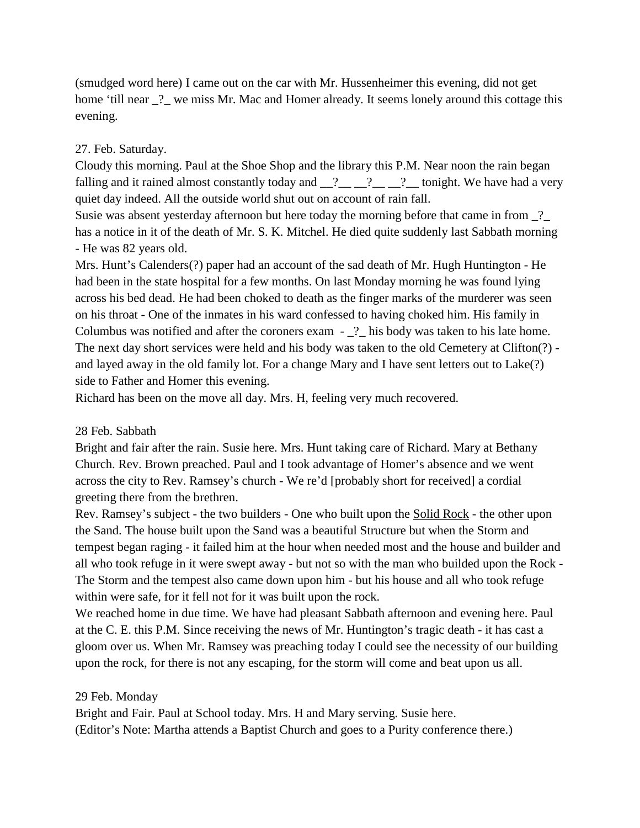(smudged word here) I came out on the car with Mr. Hussenheimer this evening, did not get home 'till near  $\frac{1}{2}$  we miss Mr. Mac and Homer already. It seems lonely around this cottage this evening.

#### 27. Feb. Saturday.

Cloudy this morning. Paul at the Shoe Shop and the library this P.M. Near noon the rain began falling and it rained almost constantly today and  $2 \underline{?} \underline{?} \underline{?} \underline{?} \underline{?}$  tonight. We have had a very quiet day indeed. All the outside world shut out on account of rain fall.

Susie was absent yesterday afternoon but here today the morning before that came in from ? has a notice in it of the death of Mr. S. K. Mitchel. He died quite suddenly last Sabbath morning - He was 82 years old.

Mrs. Hunt's Calenders(?) paper had an account of the sad death of Mr. Hugh Huntington - He had been in the state hospital for a few months. On last Monday morning he was found lying across his bed dead. He had been choked to death as the finger marks of the murderer was seen on his throat - One of the inmates in his ward confessed to having choked him. His family in Columbus was notified and after the coroners exam - \_?\_ his body was taken to his late home. The next day short services were held and his body was taken to the old Cemetery at Clifton(?) and layed away in the old family lot. For a change Mary and I have sent letters out to Lake(?) side to Father and Homer this evening.

Richard has been on the move all day. Mrs. H, feeling very much recovered.

#### 28 Feb. Sabbath

Bright and fair after the rain. Susie here. Mrs. Hunt taking care of Richard. Mary at Bethany Church. Rev. Brown preached. Paul and I took advantage of Homer's absence and we went across the city to Rev. Ramsey's church - We re'd [probably short for received] a cordial greeting there from the brethren.

Rev. Ramsey's subject - the two builders - One who built upon the Solid Rock - the other upon the Sand. The house built upon the Sand was a beautiful Structure but when the Storm and tempest began raging - it failed him at the hour when needed most and the house and builder and all who took refuge in it were swept away - but not so with the man who builded upon the Rock - The Storm and the tempest also came down upon him - but his house and all who took refuge within were safe, for it fell not for it was built upon the rock.

We reached home in due time. We have had pleasant Sabbath afternoon and evening here. Paul at the C. E. this P.M. Since receiving the news of Mr. Huntington's tragic death - it has cast a gloom over us. When Mr. Ramsey was preaching today I could see the necessity of our building upon the rock, for there is not any escaping, for the storm will come and beat upon us all.

#### 29 Feb. Monday

Bright and Fair. Paul at School today. Mrs. H and Mary serving. Susie here. (Editor's Note: Martha attends a Baptist Church and goes to a Purity conference there.)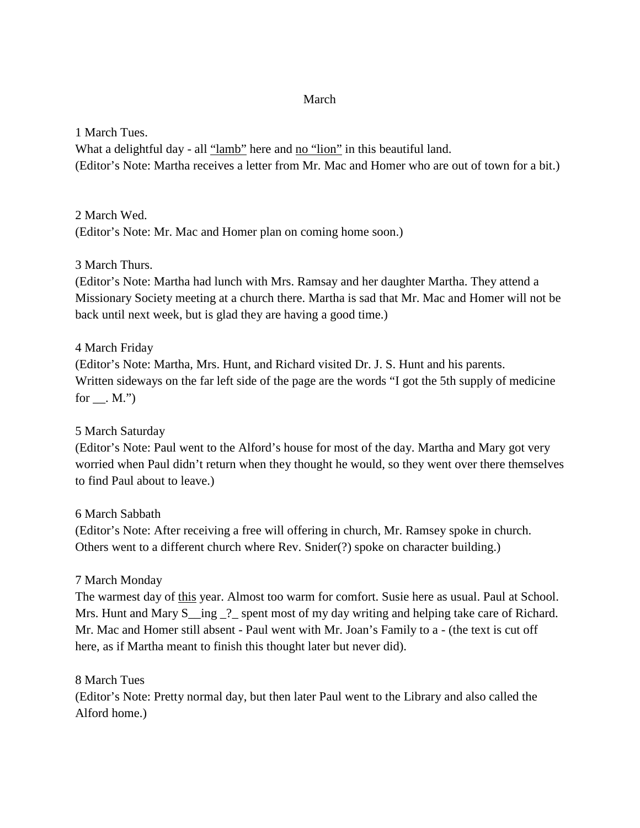### March

1 March Tues.

What a delightful day - all "lamb" here and no "lion" in this beautiful land. (Editor's Note: Martha receives a letter from Mr. Mac and Homer who are out of town for a bit.)

2 March Wed. (Editor's Note: Mr. Mac and Homer plan on coming home soon.)

3 March Thurs.

(Editor's Note: Martha had lunch with Mrs. Ramsay and her daughter Martha. They attend a Missionary Society meeting at a church there. Martha is sad that Mr. Mac and Homer will not be back until next week, but is glad they are having a good time.)

4 March Friday (Editor's Note: Martha, Mrs. Hunt, and Richard visited Dr. J. S. Hunt and his parents. Written sideways on the far left side of the page are the words "I got the 5th supply of medicine for  $\_\_$ . M.")

5 March Saturday

(Editor's Note: Paul went to the Alford's house for most of the day. Martha and Mary got very worried when Paul didn't return when they thought he would, so they went over there themselves to find Paul about to leave.)

6 March Sabbath

(Editor's Note: After receiving a free will offering in church, Mr. Ramsey spoke in church. Others went to a different church where Rev. Snider(?) spoke on character building.)

## 7 March Monday

The warmest day of this year. Almost too warm for comfort. Susie here as usual. Paul at School. Mrs. Hunt and Mary S\_ing \_?\_ spent most of my day writing and helping take care of Richard. Mr. Mac and Homer still absent - Paul went with Mr. Joan's Family to a - (the text is cut off here, as if Martha meant to finish this thought later but never did).

8 March Tues

(Editor's Note: Pretty normal day, but then later Paul went to the Library and also called the Alford home.)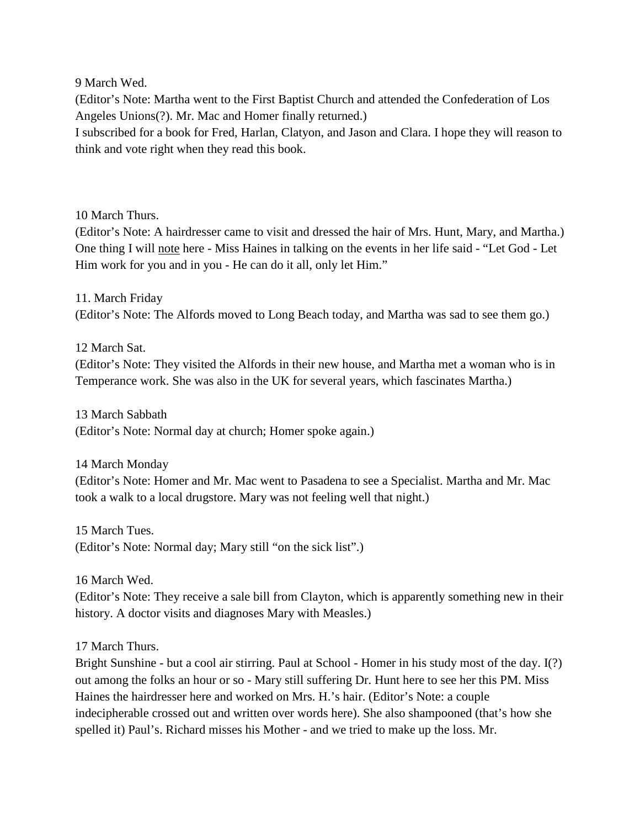9 March Wed.

(Editor's Note: Martha went to the First Baptist Church and attended the Confederation of Los Angeles Unions(?). Mr. Mac and Homer finally returned.)

I subscribed for a book for Fred, Harlan, Clatyon, and Jason and Clara. I hope they will reason to think and vote right when they read this book.

10 March Thurs.

(Editor's Note: A hairdresser came to visit and dressed the hair of Mrs. Hunt, Mary, and Martha.) One thing I will note here - Miss Haines in talking on the events in her life said - "Let God - Let Him work for you and in you - He can do it all, only let Him."

11. March Friday (Editor's Note: The Alfords moved to Long Beach today, and Martha was sad to see them go.)

12 March Sat.

(Editor's Note: They visited the Alfords in their new house, and Martha met a woman who is in Temperance work. She was also in the UK for several years, which fascinates Martha.)

13 March Sabbath (Editor's Note: Normal day at church; Homer spoke again.)

14 March Monday

(Editor's Note: Homer and Mr. Mac went to Pasadena to see a Specialist. Martha and Mr. Mac took a walk to a local drugstore. Mary was not feeling well that night.)

15 March Tues. (Editor's Note: Normal day; Mary still "on the sick list".)

16 March Wed.

(Editor's Note: They receive a sale bill from Clayton, which is apparently something new in their history. A doctor visits and diagnoses Mary with Measles.)

17 March Thurs.

Bright Sunshine - but a cool air stirring. Paul at School - Homer in his study most of the day. I(?) out among the folks an hour or so - Mary still suffering Dr. Hunt here to see her this PM. Miss Haines the hairdresser here and worked on Mrs. H.'s hair. (Editor's Note: a couple indecipherable crossed out and written over words here). She also shampooned (that's how she spelled it) Paul's. Richard misses his Mother - and we tried to make up the loss. Mr.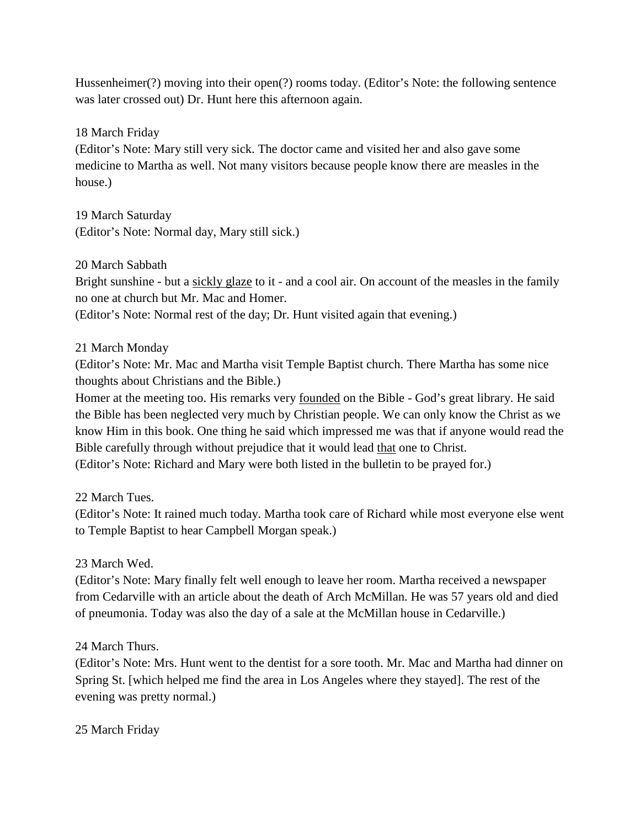Hussenheimer(?) moving into their open(?) rooms today. (Editor's Note: the following sentence was later crossed out) Dr. Hunt here this afternoon again.

18 March Friday

(Editor's Note: Mary still very sick. The doctor came and visited her and also gave some medicine to Martha as well. Not many visitors because people know there are measles in the house.)

19 March Saturday (Editor's Note: Normal day, Mary still sick.)

## 20 March Sabbath

Bright sunshine - but a sickly glaze to it - and a cool air. On account of the measles in the family no one at church but Mr. Mac and Homer.

(Editor's Note: Normal rest of the day; Dr. Hunt visited again that evening.)

## 21 March Monday

(Editor's Note: Mr. Mac and Martha visit Temple Baptist church. There Martha has some nice thoughts about Christians and the Bible.)

Homer at the meeting too. His remarks very founded on the Bible - God's great library. He said the Bible has been neglected very much by Christian people. We can only know the Christ as we know Him in this book. One thing he said which impressed me was that if anyone would read the Bible carefully through without prejudice that it would lead that one to Christ.

(Editor's Note: Richard and Mary were both listed in the bulletin to be prayed for.)

22 March Tues.

(Editor's Note: It rained much today. Martha took care of Richard while most everyone else went to Temple Baptist to hear Campbell Morgan speak.)

## 23 March Wed.

(Editor's Note: Mary finally felt well enough to leave her room. Martha received a newspaper from Cedarville with an article about the death of Arch McMillan. He was 57 years old and died of pneumonia. Today was also the day of a sale at the McMillan house in Cedarville.)

## 24 March Thurs.

(Editor's Note: Mrs. Hunt went to the dentist for a sore tooth. Mr. Mac and Martha had dinner on Spring St. [which helped me find the area in Los Angeles where they stayed]. The rest of the evening was pretty normal.)

## 25 March Friday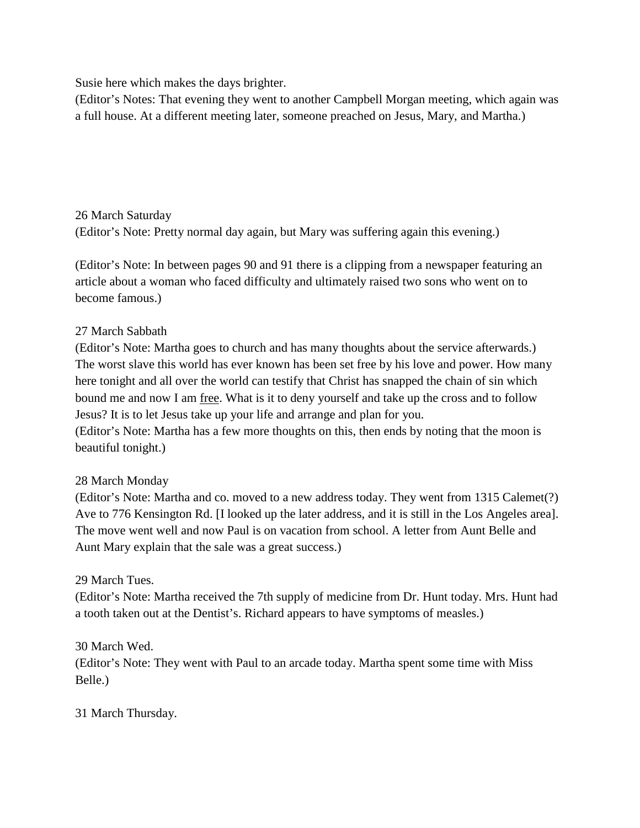Susie here which makes the days brighter.

(Editor's Notes: That evening they went to another Campbell Morgan meeting, which again was a full house. At a different meeting later, someone preached on Jesus, Mary, and Martha.)

## 26 March Saturday

(Editor's Note: Pretty normal day again, but Mary was suffering again this evening.)

(Editor's Note: In between pages 90 and 91 there is a clipping from a newspaper featuring an article about a woman who faced difficulty and ultimately raised two sons who went on to become famous.)

## 27 March Sabbath

(Editor's Note: Martha goes to church and has many thoughts about the service afterwards.) The worst slave this world has ever known has been set free by his love and power. How many here tonight and all over the world can testify that Christ has snapped the chain of sin which bound me and now I am free. What is it to deny yourself and take up the cross and to follow Jesus? It is to let Jesus take up your life and arrange and plan for you.

(Editor's Note: Martha has a few more thoughts on this, then ends by noting that the moon is beautiful tonight.)

# 28 March Monday

(Editor's Note: Martha and co. moved to a new address today. They went from 1315 Calemet(?) Ave to 776 Kensington Rd. [I looked up the later address, and it is still in the Los Angeles area]. The move went well and now Paul is on vacation from school. A letter from Aunt Belle and Aunt Mary explain that the sale was a great success.)

# 29 March Tues.

(Editor's Note: Martha received the 7th supply of medicine from Dr. Hunt today. Mrs. Hunt had a tooth taken out at the Dentist's. Richard appears to have symptoms of measles.)

30 March Wed.

(Editor's Note: They went with Paul to an arcade today. Martha spent some time with Miss Belle.)

31 March Thursday.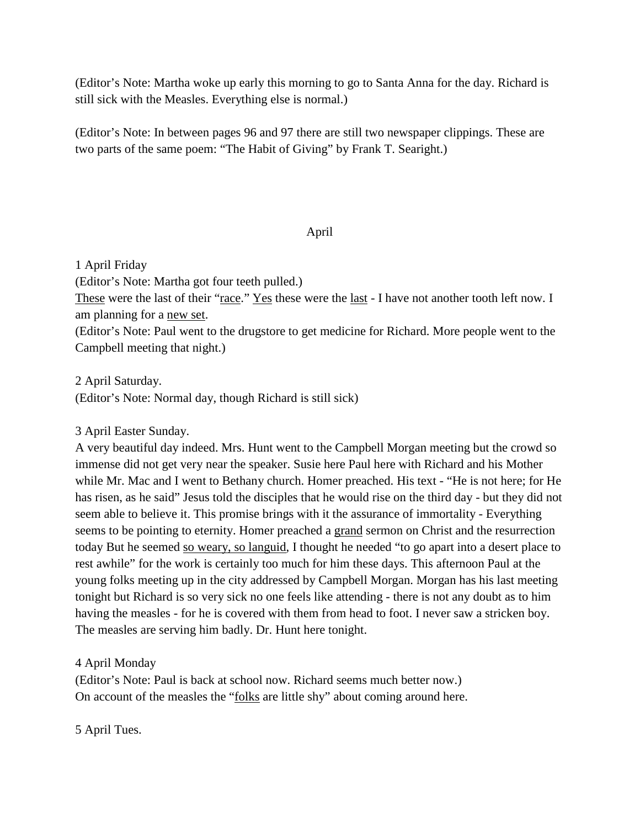(Editor's Note: Martha woke up early this morning to go to Santa Anna for the day. Richard is still sick with the Measles. Everything else is normal.)

(Editor's Note: In between pages 96 and 97 there are still two newspaper clippings. These are two parts of the same poem: "The Habit of Giving" by Frank T. Searight.)

## April

1 April Friday

(Editor's Note: Martha got four teeth pulled.)

These were the last of their "race." Yes these were the last - I have not another tooth left now. I am planning for a new set.

(Editor's Note: Paul went to the drugstore to get medicine for Richard. More people went to the Campbell meeting that night.)

2 April Saturday. (Editor's Note: Normal day, though Richard is still sick)

## 3 April Easter Sunday.

A very beautiful day indeed. Mrs. Hunt went to the Campbell Morgan meeting but the crowd so immense did not get very near the speaker. Susie here Paul here with Richard and his Mother while Mr. Mac and I went to Bethany church. Homer preached. His text - "He is not here; for He has risen, as he said" Jesus told the disciples that he would rise on the third day - but they did not seem able to believe it. This promise brings with it the assurance of immortality - Everything seems to be pointing to eternity. Homer preached a grand sermon on Christ and the resurrection today But he seemed so weary, so languid, I thought he needed "to go apart into a desert place to rest awhile" for the work is certainly too much for him these days. This afternoon Paul at the young folks meeting up in the city addressed by Campbell Morgan. Morgan has his last meeting tonight but Richard is so very sick no one feels like attending - there is not any doubt as to him having the measles - for he is covered with them from head to foot. I never saw a stricken boy. The measles are serving him badly. Dr. Hunt here tonight.

4 April Monday

(Editor's Note: Paul is back at school now. Richard seems much better now.) On account of the measles the "folks are little shy" about coming around here.

5 April Tues.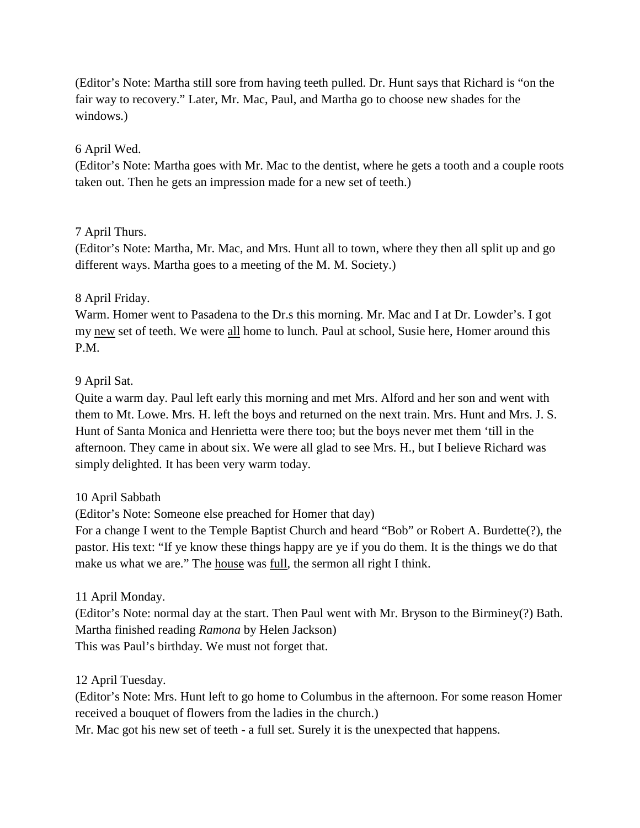(Editor's Note: Martha still sore from having teeth pulled. Dr. Hunt says that Richard is "on the fair way to recovery." Later, Mr. Mac, Paul, and Martha go to choose new shades for the windows.)

### 6 April Wed.

(Editor's Note: Martha goes with Mr. Mac to the dentist, where he gets a tooth and a couple roots taken out. Then he gets an impression made for a new set of teeth.)

## 7 April Thurs.

(Editor's Note: Martha, Mr. Mac, and Mrs. Hunt all to town, where they then all split up and go different ways. Martha goes to a meeting of the M. M. Society.)

## 8 April Friday.

Warm. Homer went to Pasadena to the Dr.s this morning. Mr. Mac and I at Dr. Lowder's. I got my new set of teeth. We were all home to lunch. Paul at school, Susie here, Homer around this P.M.

### 9 April Sat.

Quite a warm day. Paul left early this morning and met Mrs. Alford and her son and went with them to Mt. Lowe. Mrs. H. left the boys and returned on the next train. Mrs. Hunt and Mrs. J. S. Hunt of Santa Monica and Henrietta were there too; but the boys never met them 'till in the afternoon. They came in about six. We were all glad to see Mrs. H., but I believe Richard was simply delighted. It has been very warm today.

## 10 April Sabbath

(Editor's Note: Someone else preached for Homer that day)

For a change I went to the Temple Baptist Church and heard "Bob" or Robert A. Burdette(?), the pastor. His text: "If ye know these things happy are ye if you do them. It is the things we do that make us what we are." The house was full, the sermon all right I think.

## 11 April Monday.

(Editor's Note: normal day at the start. Then Paul went with Mr. Bryson to the Birminey(?) Bath. Martha finished reading *Ramona* by Helen Jackson) This was Paul's birthday. We must not forget that.

## 12 April Tuesday.

(Editor's Note: Mrs. Hunt left to go home to Columbus in the afternoon. For some reason Homer received a bouquet of flowers from the ladies in the church.)

Mr. Mac got his new set of teeth - a full set. Surely it is the unexpected that happens.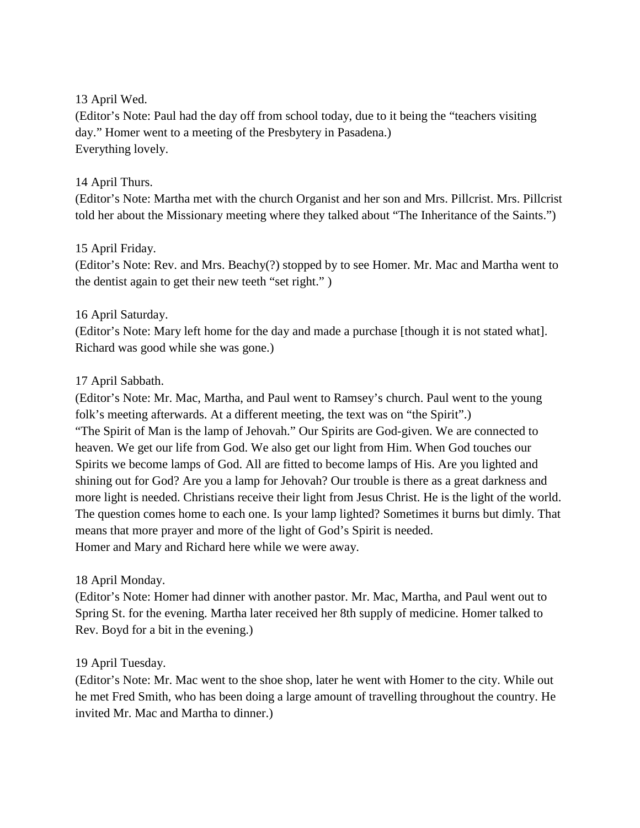## 13 April Wed.

(Editor's Note: Paul had the day off from school today, due to it being the "teachers visiting day." Homer went to a meeting of the Presbytery in Pasadena.) Everything lovely.

## 14 April Thurs.

(Editor's Note: Martha met with the church Organist and her son and Mrs. Pillcrist. Mrs. Pillcrist told her about the Missionary meeting where they talked about "The Inheritance of the Saints.")

## 15 April Friday.

(Editor's Note: Rev. and Mrs. Beachy(?) stopped by to see Homer. Mr. Mac and Martha went to the dentist again to get their new teeth "set right." )

## 16 April Saturday.

(Editor's Note: Mary left home for the day and made a purchase [though it is not stated what]. Richard was good while she was gone.)

## 17 April Sabbath.

(Editor's Note: Mr. Mac, Martha, and Paul went to Ramsey's church. Paul went to the young folk's meeting afterwards. At a different meeting, the text was on "the Spirit".) "The Spirit of Man is the lamp of Jehovah." Our Spirits are God-given. We are connected to heaven. We get our life from God. We also get our light from Him. When God touches our Spirits we become lamps of God. All are fitted to become lamps of His. Are you lighted and shining out for God? Are you a lamp for Jehovah? Our trouble is there as a great darkness and more light is needed. Christians receive their light from Jesus Christ. He is the light of the world. The question comes home to each one. Is your lamp lighted? Sometimes it burns but dimly. That means that more prayer and more of the light of God's Spirit is needed. Homer and Mary and Richard here while we were away.

## 18 April Monday.

(Editor's Note: Homer had dinner with another pastor. Mr. Mac, Martha, and Paul went out to Spring St. for the evening. Martha later received her 8th supply of medicine. Homer talked to Rev. Boyd for a bit in the evening.)

# 19 April Tuesday.

(Editor's Note: Mr. Mac went to the shoe shop, later he went with Homer to the city. While out he met Fred Smith, who has been doing a large amount of travelling throughout the country. He invited Mr. Mac and Martha to dinner.)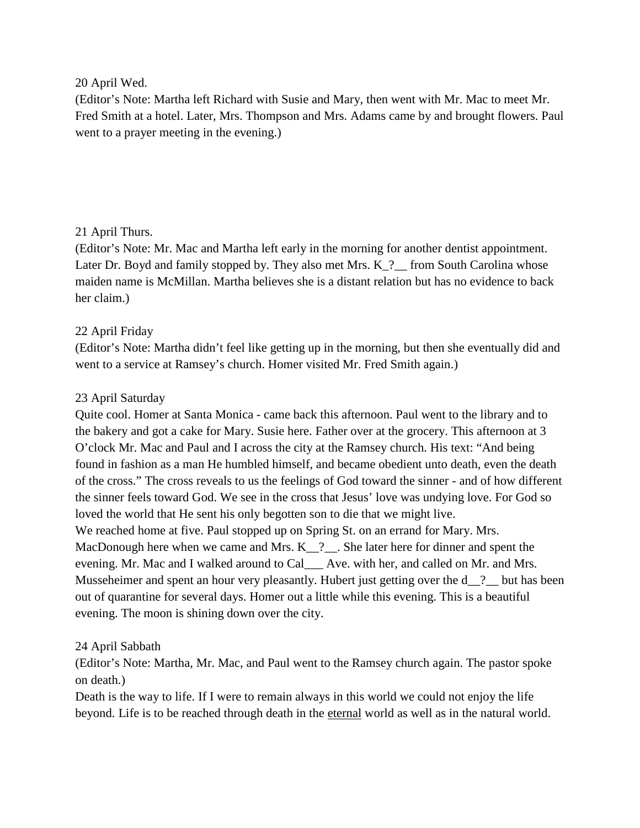### 20 April Wed.

(Editor's Note: Martha left Richard with Susie and Mary, then went with Mr. Mac to meet Mr. Fred Smith at a hotel. Later, Mrs. Thompson and Mrs. Adams came by and brought flowers. Paul went to a prayer meeting in the evening.)

## 21 April Thurs.

(Editor's Note: Mr. Mac and Martha left early in the morning for another dentist appointment. Later Dr. Boyd and family stopped by. They also met Mrs. K<sub>2</sub> from South Carolina whose maiden name is McMillan. Martha believes she is a distant relation but has no evidence to back her claim.)

## 22 April Friday

(Editor's Note: Martha didn't feel like getting up in the morning, but then she eventually did and went to a service at Ramsey's church. Homer visited Mr. Fred Smith again.)

## 23 April Saturday

Quite cool. Homer at Santa Monica - came back this afternoon. Paul went to the library and to the bakery and got a cake for Mary. Susie here. Father over at the grocery. This afternoon at 3 O'clock Mr. Mac and Paul and I across the city at the Ramsey church. His text: "And being found in fashion as a man He humbled himself, and became obedient unto death, even the death of the cross." The cross reveals to us the feelings of God toward the sinner - and of how different the sinner feels toward God. We see in the cross that Jesus' love was undying love. For God so loved the world that He sent his only begotten son to die that we might live. We reached home at five. Paul stopped up on Spring St. on an errand for Mary. Mrs. MacDonough here when we came and Mrs. K<sub>1</sub>?<sub>1</sub>. She later here for dinner and spent the evening. Mr. Mac and I walked around to Cal\_\_\_ Ave. with her, and called on Mr. and Mrs. Musseheimer and spent an hour very pleasantly. Hubert just getting over the d\_\_? but has been out of quarantine for several days. Homer out a little while this evening. This is a beautiful evening. The moon is shining down over the city.

## 24 April Sabbath

(Editor's Note: Martha, Mr. Mac, and Paul went to the Ramsey church again. The pastor spoke on death.)

Death is the way to life. If I were to remain always in this world we could not enjoy the life beyond. Life is to be reached through death in the eternal world as well as in the natural world.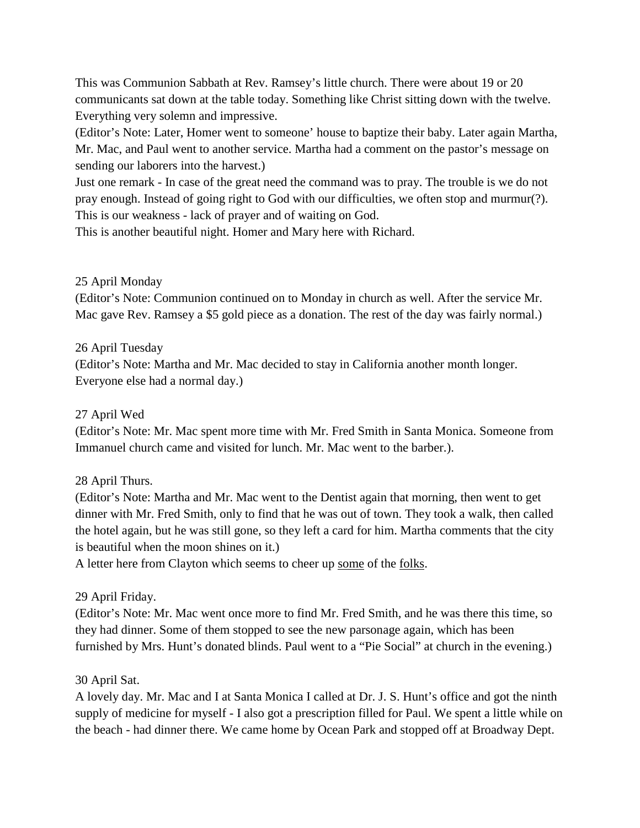This was Communion Sabbath at Rev. Ramsey's little church. There were about 19 or 20 communicants sat down at the table today. Something like Christ sitting down with the twelve. Everything very solemn and impressive.

(Editor's Note: Later, Homer went to someone' house to baptize their baby. Later again Martha, Mr. Mac, and Paul went to another service. Martha had a comment on the pastor's message on sending our laborers into the harvest.)

Just one remark - In case of the great need the command was to pray. The trouble is we do not pray enough. Instead of going right to God with our difficulties, we often stop and murmur(?). This is our weakness - lack of prayer and of waiting on God.

This is another beautiful night. Homer and Mary here with Richard.

# 25 April Monday

(Editor's Note: Communion continued on to Monday in church as well. After the service Mr. Mac gave Rev. Ramsey a \$5 gold piece as a donation. The rest of the day was fairly normal.)

# 26 April Tuesday

(Editor's Note: Martha and Mr. Mac decided to stay in California another month longer. Everyone else had a normal day.)

# 27 April Wed

(Editor's Note: Mr. Mac spent more time with Mr. Fred Smith in Santa Monica. Someone from Immanuel church came and visited for lunch. Mr. Mac went to the barber.).

# 28 April Thurs.

(Editor's Note: Martha and Mr. Mac went to the Dentist again that morning, then went to get dinner with Mr. Fred Smith, only to find that he was out of town. They took a walk, then called the hotel again, but he was still gone, so they left a card for him. Martha comments that the city is beautiful when the moon shines on it.)

A letter here from Clayton which seems to cheer up some of the folks.

# 29 April Friday.

(Editor's Note: Mr. Mac went once more to find Mr. Fred Smith, and he was there this time, so they had dinner. Some of them stopped to see the new parsonage again, which has been furnished by Mrs. Hunt's donated blinds. Paul went to a "Pie Social" at church in the evening.)

# 30 April Sat.

A lovely day. Mr. Mac and I at Santa Monica I called at Dr. J. S. Hunt's office and got the ninth supply of medicine for myself - I also got a prescription filled for Paul. We spent a little while on the beach - had dinner there. We came home by Ocean Park and stopped off at Broadway Dept.